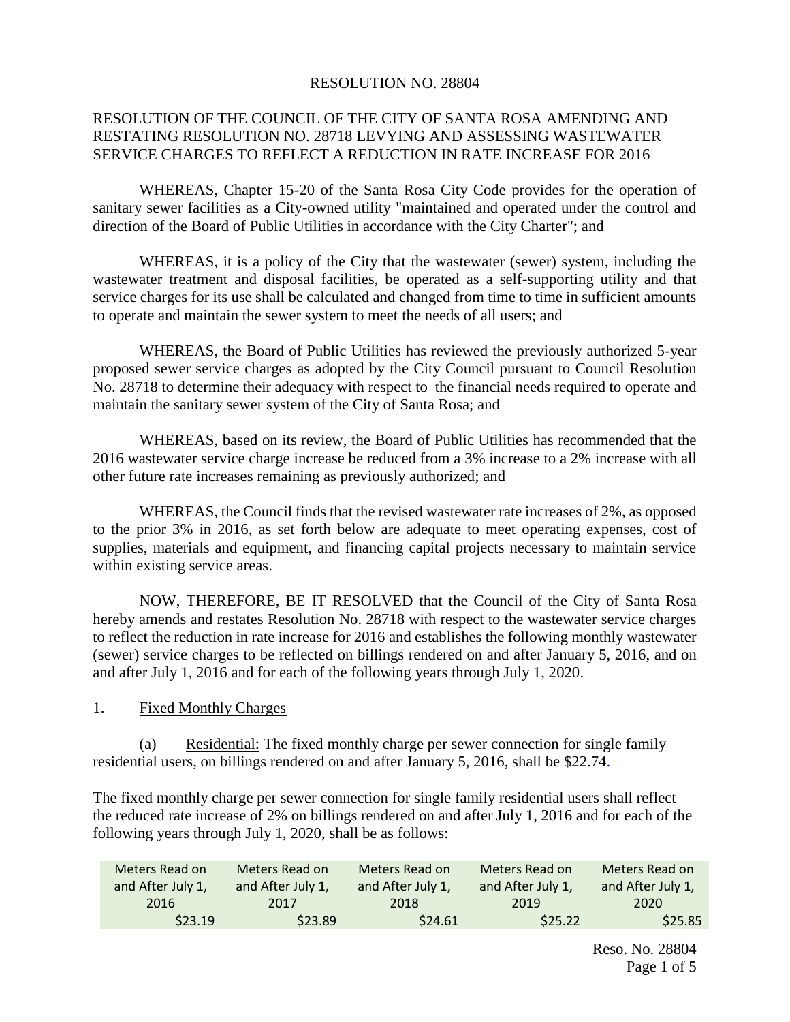#### RESOLUTION NO. 28804

# RESOLUTION OF THE COUNCIL OF THE CITY OF SANTA ROSA AMENDING AND RESTATING RESOLUTION NO. 28718 LEVYING AND ASSESSING WASTEWATER SERVICE CHARGES TO REFLECT A REDUCTION IN RATE INCREASE FOR 2016

WHEREAS, Chapter 15-20 of the Santa Rosa City Code provides for the operation of sanitary sewer facilities as a City-owned utility "maintained and operated under the control and direction of the Board of Public Utilities in accordance with the City Charter"; and

WHEREAS, it is a policy of the City that the wastewater (sewer) system, including the wastewater treatment and disposal facilities, be operated as a self-supporting utility and that service charges for its use shall be calculated and changed from time to time in sufficient amounts to operate and maintain the sewer system to meet the needs of all users; and

WHEREAS, the Board of Public Utilities has reviewed the previously authorized 5-year proposed sewer service charges as adopted by the City Council pursuant to Council Resolution No. 28718 to determine their adequacy with respect to the financial needs required to operate and maintain the sanitary sewer system of the City of Santa Rosa; and

WHEREAS, based on its review, the Board of Public Utilities has recommended that the 2016 wastewater service charge increase be reduced from a 3% increase to a 2% increase with all other future rate increases remaining as previously authorized; and

WHEREAS, the Council finds that the revised wastewater rate increases of 2%, as opposed to the prior 3% in 2016, as set forth below are adequate to meet operating expenses, cost of supplies, materials and equipment, and financing capital projects necessary to maintain service within existing service areas.

NOW, THEREFORE, BE IT RESOLVED that the Council of the City of Santa Rosa hereby amends and restates Resolution No. 28718 with respect to the wastewater service charges to reflect the reduction in rate increase for 2016 and establishes the following monthly wastewater (sewer) service charges to be reflected on billings rendered on and after January 5, 2016, and on and after July 1, 2016 and for each of the following years through July 1, 2020.

1. Fixed Monthly Charges

(a) Residential: The fixed monthly charge per sewer connection for single family residential users, on billings rendered on and after January 5, 2016, shall be \$22.74.

The fixed monthly charge per sewer connection for single family residential users shall reflect the reduced rate increase of 2% on billings rendered on and after July 1, 2016 and for each of the following years through July 1, 2020, shall be as follows:

| Meters Read on    | Meters Read on    | Meters Read on    | Meters Read on     | Meters Read on    |
|-------------------|-------------------|-------------------|--------------------|-------------------|
| and After July 1, | and After July 1, | and After July 1, | and After July 1,  | and After July 1, |
| 2016              | 2017              | 2018              | 2019               | 2020              |
| \$23.19           | \$23.89           | \$24.61           | S <sub>25.22</sub> | \$25.85           |

Reso. No. 28804 Page 1 of 5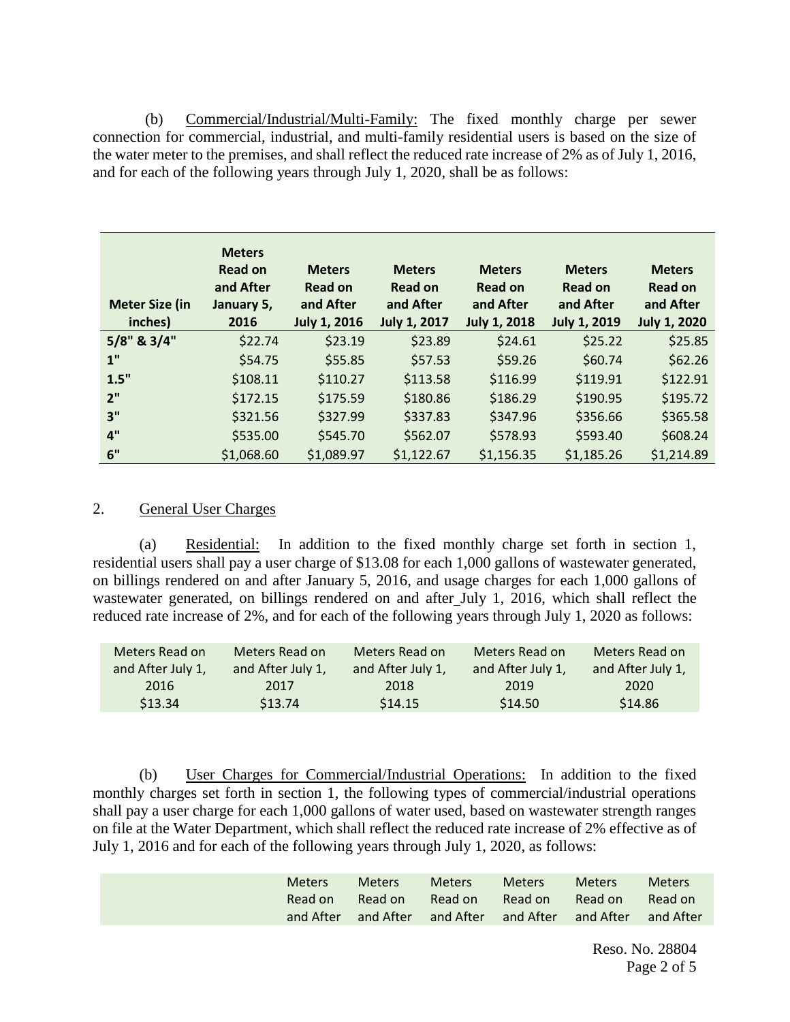(b) Commercial/Industrial/Multi-Family: The fixed monthly charge per sewer connection for commercial, industrial, and multi-family residential users is based on the size of the water meter to the premises, and shall reflect the reduced rate increase of 2% as of July 1, 2016, and for each of the following years through July 1, 2020, shall be as follows:

| <b>Meter Size (in</b><br>inches) | <b>Meters</b><br><b>Read on</b><br>and After<br>January 5,<br>2016 | <b>Meters</b><br><b>Read on</b><br>and After<br><b>July 1, 2016</b> | <b>Meters</b><br><b>Read on</b><br>and After<br><b>July 1, 2017</b> | <b>Meters</b><br>Read on<br>and After<br><b>July 1, 2018</b> | <b>Meters</b><br>Read on<br>and After<br><b>July 1, 2019</b> | <b>Meters</b><br><b>Read on</b><br>and After<br><b>July 1, 2020</b> |
|----------------------------------|--------------------------------------------------------------------|---------------------------------------------------------------------|---------------------------------------------------------------------|--------------------------------------------------------------|--------------------------------------------------------------|---------------------------------------------------------------------|
| 5/8" & 3/4"                      | \$22.74                                                            | \$23.19                                                             | \$23.89                                                             | \$24.61                                                      | \$25.22                                                      | \$25.85                                                             |
| 1"                               | \$54.75                                                            | \$55.85                                                             | \$57.53                                                             | \$59.26                                                      | \$60.74                                                      | \$62.26                                                             |
| 1.5"                             | \$108.11                                                           | \$110.27                                                            | \$113.58                                                            | \$116.99                                                     | \$119.91                                                     | \$122.91                                                            |
| 2"                               | \$172.15                                                           | \$175.59                                                            | \$180.86                                                            | \$186.29                                                     | \$190.95                                                     | \$195.72                                                            |
| 3"                               | \$321.56                                                           | \$327.99                                                            | \$337.83                                                            | \$347.96                                                     | \$356.66                                                     | \$365.58                                                            |
| 4"                               | \$535.00                                                           | \$545.70                                                            | \$562.07                                                            | \$578.93                                                     | \$593.40                                                     | \$608.24                                                            |
| 6"                               | \$1,068.60                                                         | \$1,089.97                                                          | \$1,122.67                                                          | \$1,156.35                                                   | \$1,185.26                                                   | \$1,214.89                                                          |

## 2. General User Charges

(a) Residential: In addition to the fixed monthly charge set forth in section 1, residential users shall pay a user charge of \$13.08 for each 1,000 gallons of wastewater generated, on billings rendered on and after January 5, 2016, and usage charges for each 1,000 gallons of wastewater generated, on billings rendered on and after July 1, 2016, which shall reflect the reduced rate increase of 2%, and for each of the following years through July 1, 2020 as follows:

| Meters Read on<br>and After July 1, | Meters Read on<br>and After July 1, | Meters Read on<br>and After July 1, | Meters Read on<br>and After July 1, | Meters Read on<br>and After July 1, |
|-------------------------------------|-------------------------------------|-------------------------------------|-------------------------------------|-------------------------------------|
| 2016                                | 2017                                | 2018                                | 2019                                | 2020                                |
| \$13.34                             | \$13.74                             | \$14.15                             | \$14.50                             | \$14.86                             |

(b) User Charges for Commercial/Industrial Operations: In addition to the fixed monthly charges set forth in section 1, the following types of commercial/industrial operations shall pay a user charge for each 1,000 gallons of water used, based on wastewater strength ranges on file at the Water Department, which shall reflect the reduced rate increase of 2% effective as of July 1, 2016 and for each of the following years through July 1, 2020, as follows:

| Meters<br>Read on | <b>Meters</b><br>Read on                          | <b>Meters</b><br>Read on | <b>Meters</b><br>Read on | Meters <sup>1</sup><br>Read on | <b>Meters</b><br>Read on |
|-------------------|---------------------------------------------------|--------------------------|--------------------------|--------------------------------|--------------------------|
| and After         | and After and After and After and After and After |                          |                          |                                |                          |
|                   |                                                   |                          |                          |                                |                          |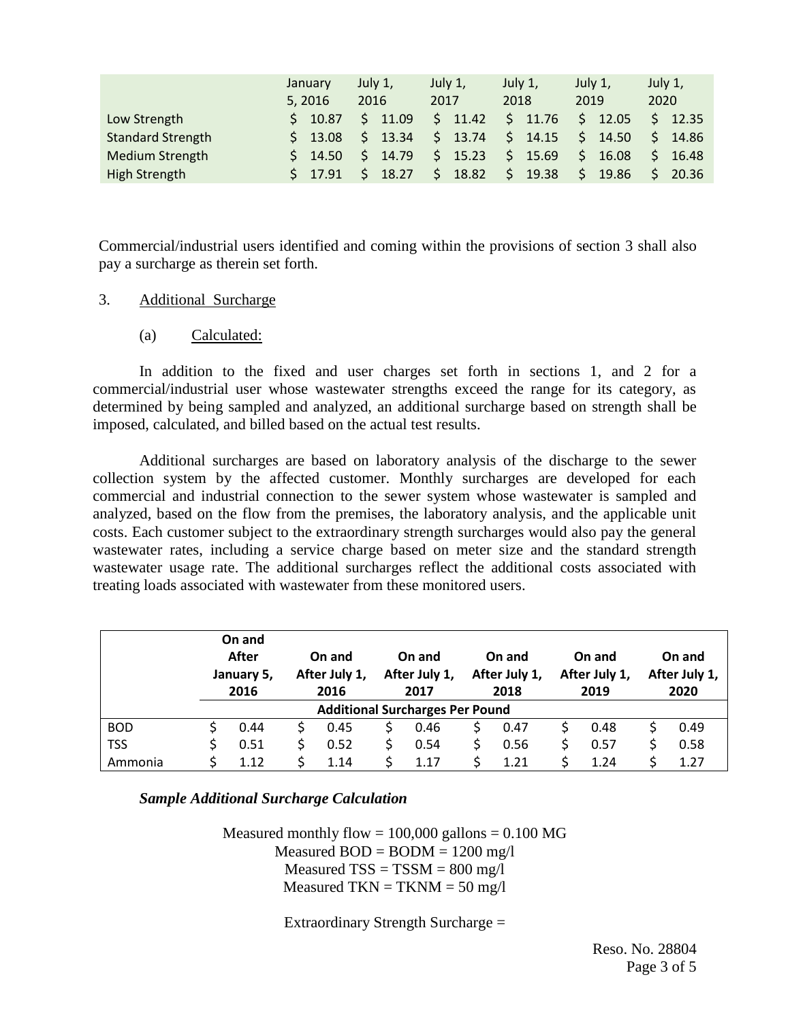|                          | January         | July 1,     | July 1,      | July 1,     | July 1,               | July 1,               |  |
|--------------------------|-----------------|-------------|--------------|-------------|-----------------------|-----------------------|--|
|                          | 5, 2016         | 2016        | 2017         | 2018        | 2019                  | 2020                  |  |
| Low Strength             | \$10.87         | 11.09<br>S. | \$.<br>11.42 | \$11.76     | $\mathsf{S}$<br>12.05 | $5$ 12.35             |  |
| <b>Standard Strength</b> | $5 \quad 13.08$ | 13.34<br>S. | 13.74<br>\$. | \$14.15     | $\zeta$<br>14.50      | \$14.86               |  |
| <b>Medium Strength</b>   | $5 \t14.50$     | 14.79<br>S. | 15.23<br>\$. | \$15.69     | \$<br>16.08           | $\mathsf{S}$<br>16.48 |  |
| High Strength            | $5$ 17.91       | 18.27       | 18.82<br>S.  | S.<br>19.38 | 19.86<br>S.           | 20.36<br>S.           |  |

Commercial/industrial users identified and coming within the provisions of section 3 shall also pay a surcharge as therein set forth.

### 3. Additional Surcharge

(a) Calculated:

In addition to the fixed and user charges set forth in sections 1, and 2 for a commercial/industrial user whose wastewater strengths exceed the range for its category, as determined by being sampled and analyzed, an additional surcharge based on strength shall be imposed, calculated, and billed based on the actual test results.

Additional surcharges are based on laboratory analysis of the discharge to the sewer collection system by the affected customer. Monthly surcharges are developed for each commercial and industrial connection to the sewer system whose wastewater is sampled and analyzed, based on the flow from the premises, the laboratory analysis, and the applicable unit costs. Each customer subject to the extraordinary strength surcharges would also pay the general wastewater rates, including a service charge based on meter size and the standard strength wastewater usage rate. The additional surcharges reflect the additional costs associated with treating loads associated with wastewater from these monitored users.

|            |                                        | On and<br>After<br>January 5,<br>2016 |  | On and<br>After July 1,<br>2016 |  | On and<br>After July 1,<br>2017 |  | On and<br>After July 1,<br>2018 |  | On and<br>After July 1,<br>2019 |  | On and<br>After July 1,<br>2020 |
|------------|----------------------------------------|---------------------------------------|--|---------------------------------|--|---------------------------------|--|---------------------------------|--|---------------------------------|--|---------------------------------|
|            | <b>Additional Surcharges Per Pound</b> |                                       |  |                                 |  |                                 |  |                                 |  |                                 |  |                                 |
| <b>BOD</b> |                                        | 0.44                                  |  | 0.45                            |  | 0.46                            |  | 0.47                            |  | 0.48                            |  | 0.49                            |
| <b>TSS</b> |                                        | 0.51                                  |  | 0.52                            |  | 0.54                            |  | 0.56                            |  | 0.57                            |  | 0.58                            |
| Ammonia    |                                        | 1.12                                  |  | 1.14                            |  | 1.17                            |  | 1.21                            |  | 1.24                            |  | 1.27                            |

### *Sample Additional Surcharge Calculation*

Measured monthly flow  $= 100,000$  gallons  $= 0.100$  MG Measured  $BOD = BODM = 1200$  mg/l Measured  $TSS = TSSM = 800$  mg/l Measured TKN = TKNM =  $50 \text{ mg/l}$ 

Extraordinary Strength Surcharge =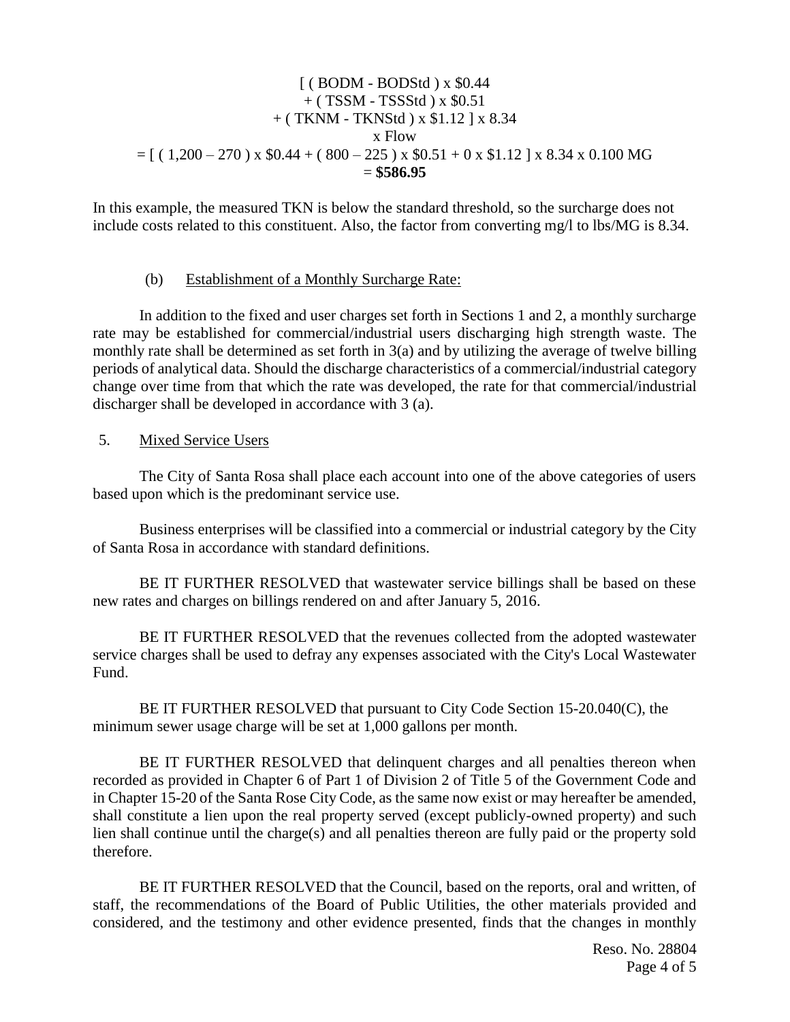### $($  BODM - BODStd  $)$  x \$0.44 + ( TSSM - TSSStd ) x \$0.51 + ( TKNM - TKNStd ) x \$1.12 ] x 8.34 x Flow  $= [ (1,200 - 270) \times $0.44 + (800 - 225) \times $0.51 + 0 \times $1.12] \times 8.34 \times 0.100 \text{ MG}$ = **\$586.95**

In this example, the measured TKN is below the standard threshold, so the surcharge does not include costs related to this constituent. Also, the factor from converting mg/l to lbs/MG is 8.34.

#### (b) Establishment of a Monthly Surcharge Rate:

In addition to the fixed and user charges set forth in Sections 1 and 2, a monthly surcharge rate may be established for commercial/industrial users discharging high strength waste. The monthly rate shall be determined as set forth in 3(a) and by utilizing the average of twelve billing periods of analytical data. Should the discharge characteristics of a commercial/industrial category change over time from that which the rate was developed, the rate for that commercial/industrial discharger shall be developed in accordance with 3 (a).

5. Mixed Service Users

The City of Santa Rosa shall place each account into one of the above categories of users based upon which is the predominant service use.

Business enterprises will be classified into a commercial or industrial category by the City of Santa Rosa in accordance with standard definitions.

BE IT FURTHER RESOLVED that wastewater service billings shall be based on these new rates and charges on billings rendered on and after January 5, 2016.

BE IT FURTHER RESOLVED that the revenues collected from the adopted wastewater service charges shall be used to defray any expenses associated with the City's Local Wastewater Fund.

BE IT FURTHER RESOLVED that pursuant to City Code Section 15-20.040(C), the minimum sewer usage charge will be set at 1,000 gallons per month.

BE IT FURTHER RESOLVED that delinquent charges and all penalties thereon when recorded as provided in Chapter 6 of Part 1 of Division 2 of Title 5 of the Government Code and in Chapter 15-20 of the Santa Rose City Code, as the same now exist or may hereafter be amended, shall constitute a lien upon the real property served (except publicly-owned property) and such lien shall continue until the charge(s) and all penalties thereon are fully paid or the property sold therefore.

BE IT FURTHER RESOLVED that the Council, based on the reports, oral and written, of staff, the recommendations of the Board of Public Utilities, the other materials provided and considered, and the testimony and other evidence presented, finds that the changes in monthly